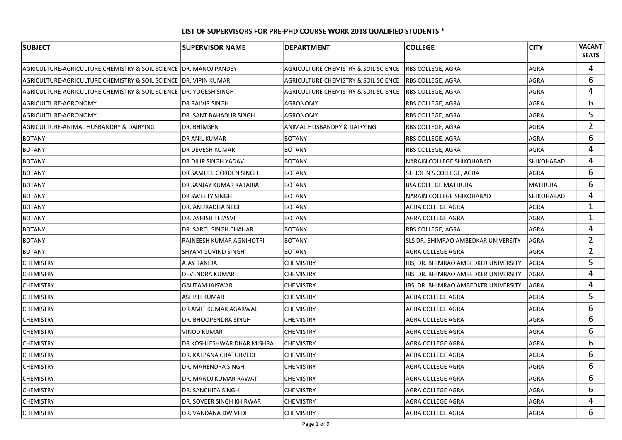| <b>SUBJECT</b>                                                    | <b>SUPERVISOR NAME</b>     | <b>DEPARTMENT</b>                    | <b>COLLEGE</b>                       | <b>CITY</b>       | <b>VACANT</b><br><b>SEATS</b> |
|-------------------------------------------------------------------|----------------------------|--------------------------------------|--------------------------------------|-------------------|-------------------------------|
| AGRICULTURE-AGRICULTURE CHEMISTRY & SOIL SCIENCE DR. MANOJ PANDEY |                            | AGRICULTURE CHEMISTRY & SOIL SCIENCE | RBS COLLEGE, AGRA                    | AGRA              | 4                             |
| AGRICULTURE-AGRICULTURE CHEMISTRY & SOIL SCIENCE DR. VIPIN KUMAR  |                            | AGRICULTURE CHEMISTRY & SOIL SCIENCE | RBS COLLEGE, AGRA                    | <b>AGRA</b>       | 6                             |
| AGRICULTURE-AGRICULTURE CHEMISTRY & SOIL SCIENCE DR. YOGESH SINGH |                            | AGRICULTURE CHEMISTRY & SOIL SCIENCE | RBS COLLEGE, AGRA                    | <b>AGRA</b>       | 4                             |
| AGRICULTURE-AGRONOMY                                              | DR RAJVIR SINGH            | AGRONOMY                             | RBS COLLEGE, AGRA                    | <b>AGRA</b>       | 6                             |
| AGRICULTURE-AGRONOMY                                              | DR. SANT BAHADUR SINGH     | AGRONOMY                             | RBS COLLEGE, AGRA                    | <b>AGRA</b>       | 5                             |
| AGRICULTURE-ANIMAL HUSBANDRY & DAIRYING                           | <b>DR. BHIMSEN</b>         | ANIMAL HUSBANDRY & DAIRYING          | RBS COLLEGE, AGRA                    | AGRA              | $\overline{2}$                |
| <b>BOTANY</b>                                                     | DR ANIL KUMAR              | <b>BOTANY</b>                        | RBS COLLEGE, AGRA                    | AGRA              | 6                             |
| <b>BOTANY</b>                                                     | DR DEVESH KUMAR            | <b>BOTANY</b>                        | RBS COLLEGE, AGRA                    | AGRA              | 4                             |
| <b>BOTANY</b>                                                     | DR DILIP SINGH YADAV       | <b>BOTANY</b>                        | <b>NARAIN COLLEGE SHIKOHABAD</b>     | <b>SHIKOHABAD</b> | 4                             |
| <b>BOTANY</b>                                                     | DR SAMUEL GORDEN SINGH     | <b>BOTANY</b>                        | ST. JOHN'S COLLEGE, AGRA             | AGRA              | 6                             |
| <b>BOTANY</b>                                                     | DR SANJAY KUMAR KATARIA    | <b>BOTANY</b>                        | BSA COLLEGE MATHURA                  | <b>MATHURA</b>    | 6                             |
| <b>BOTANY</b>                                                     | DR SWEETY SINGH            | <b>BOTANY</b>                        | NARAIN COLLEGE SHIKOHABAD            | <b>SHIKOHABAD</b> | 4                             |
| <b>BOTANY</b>                                                     | DR. ANURADHA NEGI          | <b>BOTANY</b>                        | AGRA COLLEGE AGRA                    | <b>AGRA</b>       | $\mathbf{1}$                  |
| <b>BOTANY</b>                                                     | DR. ASHISH TEJASVI         | <b>BOTANY</b>                        | AGRA COLLEGE AGRA                    | AGRA              | 1                             |
| <b>BOTANY</b>                                                     | DR. SAROJ SINGH CHAHAR     | <b>BOTANY</b>                        | RBS COLLEGE, AGRA                    | AGRA              | 4                             |
| <b>BOTANY</b>                                                     | RAJNEESH KUMAR AGNIHOTRI   | <b>BOTANY</b>                        | SLS DR. BHIMRAO AMBEDKAR UNIVERSITY  | lAGRA             | $\overline{2}$                |
| <b>BOTANY</b>                                                     | <b>SHYAM GOVIND SINGH</b>  | <b>BOTANY</b>                        | AGRA COLLEGE AGRA                    | AGRA              | $\overline{2}$                |
| <b>CHEMISTRY</b>                                                  | <b>AJAY TANEJA</b>         | CHEMISTRY                            | IBS. DR. BHIMRAO AMBEDKER UNIVERSITY | lagra             | 5                             |
| <b>CHEMISTRY</b>                                                  | DEVENDRA KUMAR             | CHEMISTRY                            | IBS, DR. BHIMRAO AMBEDKER UNIVERSITY | AGRA              | 4                             |
| <b>CHEMISTRY</b>                                                  | <b>GAUTAM JAISWAR</b>      | CHEMISTRY                            | IBS, DR. BHIMRAO AMBEDKER UNIVERSITY | <b>AGRA</b>       | 4                             |
| <b>CHEMISTRY</b>                                                  | <b>ASHISH KUMAR</b>        | CHEMISTRY                            | AGRA COLLEGE AGRA                    | AGRA              | 5                             |
| <b>CHEMISTRY</b>                                                  | DR AMIT KUMAR AGARWAL      | <b>CHEMISTRY</b>                     | AGRA COLLEGE AGRA                    | AGRA              | 6                             |
| <b>CHEMISTRY</b>                                                  | DR. BHOOPENDRA SINGH       | CHEMISTRY                            | AGRA COLLEGE AGRA                    | AGRA              | 6                             |
| <b>CHEMISTRY</b>                                                  | <b>VINOD KUMAR</b>         | <b>CHEMISTRY</b>                     | AGRA COLLEGE AGRA                    | AGRA              | 6                             |
| <b>CHEMISTRY</b>                                                  | DR KOSHLESHWAR DHAR MISHRA | CHEMISTRY                            | AGRA COLLEGE AGRA                    | <b>AGRA</b>       | 6                             |
| <b>CHEMISTRY</b>                                                  | DR. KALPANA CHATURVEDI     | CHEMISTRY                            | AGRA COLLEGE AGRA                    | <b>AGRA</b>       | 6                             |
| <b>CHEMISTRY</b>                                                  | DR. MAHENDRA SINGH         | CHEMISTRY                            | AGRA COLLEGE AGRA                    | AGRA              | 6                             |
| <b>CHEMISTRY</b>                                                  | DR. MANOJ KUMAR RAWAT      | CHEMISTRY                            | AGRA COLLEGE AGRA                    | AGRA              | 6                             |
| <b>CHEMISTRY</b>                                                  | DR. SANCHITA SINGH         | <b>CHEMISTRY</b>                     | AGRA COLLEGE AGRA                    | <b>AGRA</b>       | 6                             |
| <b>CHEMISTRY</b>                                                  | DR. SOVEER SINGH KHIRWAR   | CHEMISTRY                            | AGRA COLLEGE AGRA                    | AGRA              | 4                             |
| <b>CHEMISTRY</b>                                                  | DR. VANDANA DWIVEDI        | <b>CHEMISTRY</b>                     | AGRA COLLEGE AGRA                    | <b>AGRA</b>       | 6                             |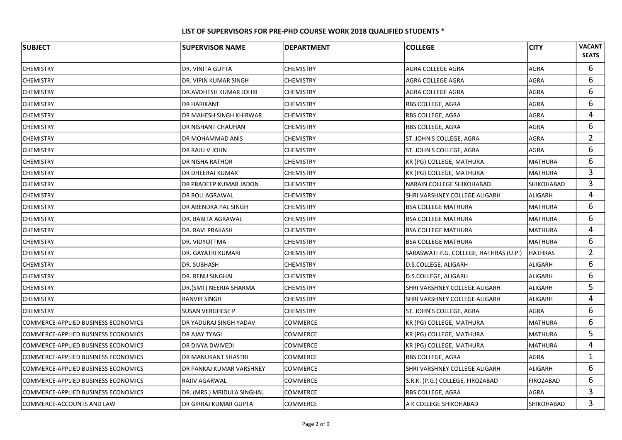| <b>SUBJECT</b>                      | <b>SUPERVISOR NAME</b>     | <b>DEPARTMENT</b> | <b>COLLEGE</b>                         | <b>CITY</b>       | <b>VACANT</b><br><b>SEATS</b> |
|-------------------------------------|----------------------------|-------------------|----------------------------------------|-------------------|-------------------------------|
| <b>CHEMISTRY</b>                    | DR. VINITA GUPTA           | <b>CHEMISTRY</b>  | AGRA COLLEGE AGRA                      | AGRA              | 6                             |
| <b>CHEMISTRY</b>                    | DR. VIPIN KUMAR SINGH      | <b>CHEMISTRY</b>  | AGRA COLLEGE AGRA                      | AGRA              | 6                             |
| <b>CHEMISTRY</b>                    | DR.AVDHESH KUMAR JOHRI     | CHEMISTRY         | AGRA COLLEGE AGRA                      | AGRA              | 6                             |
| <b>CHEMISTRY</b>                    | DR HARIKANT                | <b>CHEMISTRY</b>  | RBS COLLEGE, AGRA                      | AGRA              | 6                             |
| <b>CHEMISTRY</b>                    | DR MAHESH SINGH KHIRWAR    | <b>CHEMISTRY</b>  | RBS COLLEGE, AGRA                      | <b>AGRA</b>       | 4                             |
| <b>CHEMISTRY</b>                    | DR NISHANT CHAUHAN         | CHEMISTRY         | RBS COLLEGE, AGRA                      | AGRA              | 6                             |
| <b>CHEMISTRY</b>                    | DR MOHAMMAD ANIS           | CHEMISTRY         | ST. JOHN'S COLLEGE, AGRA               | <b>AGRA</b>       | $\overline{2}$                |
| <b>CHEMISTRY</b>                    | DR RAJU V JOHN             | <b>CHEMISTRY</b>  | ST. JOHN'S COLLEGE, AGRA               | AGRA              | 6                             |
| <b>CHEMISTRY</b>                    | DR NISHA RATHOR            | <b>CHEMISTRY</b>  | KR (PG) COLLEGE, MATHURA               | <b>MATHURA</b>    | 6                             |
| <b>CHEMISTRY</b>                    | DR DHEERAJ KUMAR           | <b>CHEMISTRY</b>  | KR (PG) COLLEGE, MATHURA               | <b>MATHURA</b>    | 3                             |
| <b>CHEMISTRY</b>                    | DR PRADEEP KUMAR JADON     | <b>CHEMISTRY</b>  | NARAIN COLLEGE SHIKOHABAD              | SHIKOHABAD        | 3                             |
| <b>CHEMISTRY</b>                    | DR ROLI AGRAWAL            | CHEMISTRY         | SHRI VARSHNEY COLLEGE ALIGARH          | ALIGARH           | 4                             |
| <b>CHEMISTRY</b>                    | DR ABENDRA PAL SINGH       | CHEMISTRY         | <b>BSA COLLEGE MATHURA</b>             | <b>MATHURA</b>    | 6                             |
| <b>CHEMISTRY</b>                    | DR. BABITA AGRAWAL         | CHEMISTRY         | <b>BSA COLLEGE MATHURA</b>             | <b>MATHURA</b>    | 6                             |
| <b>CHEMISTRY</b>                    | DR. RAVI PRAKASH           | <b>CHEMISTRY</b>  | BSA COLLEGE MATHURA                    | MATHURA           | 4                             |
| <b>CHEMISTRY</b>                    | DR. VIDYOTTMA              | <b>CHEMISTRY</b>  | <b>BSA COLLEGE MATHURA</b>             | <b>MATHURA</b>    | 6                             |
| <b>CHEMISTRY</b>                    | DR. GAYATRI KUMARI         | CHEMISTRY         | SARASWATI P.G. COLLEGE, HATHRAS (U.P.) | <b>HATHRAS</b>    | $\overline{2}$                |
| <b>CHEMISTRY</b>                    | DR. SUBHASH                | CHEMISTRY         | D.S.COLLEGE, ALIGARH                   | ALIGARH           | 6                             |
| <b>CHEMISTRY</b>                    | <b>DR. RENU SINGHAL</b>    | CHEMISTRY         | D.S.COLLEGE, ALIGARH                   | <b>ALIGARH</b>    | 6                             |
| <b>CHEMISTRY</b>                    | DR.(SMT) NEERJA SHARMA     | CHEMISTRY         | SHRI VARSHNEY COLLEGE ALIGARH          | <b>ALIGARH</b>    | 5                             |
| <b>CHEMISTRY</b>                    | <b>RANVIR SINGH</b>        | CHEMISTRY         | SHRI VARSHNEY COLLEGE ALIGARH          | ALIGARH           | 4                             |
| <b>CHEMISTRY</b>                    | SUSAN VERGHESE P           | CHEMISTRY         | ST. JOHN'S COLLEGE, AGRA               | AGRA              | 6                             |
| COMMERCE-APPLIED BUSINESS ECONOMICS | DR YADURAJ SINGH YADAV     | COMMERCE          | KR (PG) COLLEGE, MATHURA               | <b>MATHURA</b>    | 6                             |
| COMMERCE-APPLIED BUSINESS ECONOMICS | DR AJAY TYAGI              | COMMERCE          | KR (PG) COLLEGE, MATHURA               | MATHURA           | 5                             |
| COMMERCE-APPLIED BUSINESS ECONOMICS | DR DIVYA DWIVEDI           | COMMERCE          | KR (PG) COLLEGE, MATHURA               | <b>MATHURA</b>    | 4                             |
| COMMERCE-APPLIED BUSINESS ECONOMICS | DR MANUKANT SHASTRI        | COMMERCE          | RBS COLLEGE, AGRA                      | <b>AGRA</b>       | 1                             |
| COMMERCE-APPLIED BUSINESS ECONOMICS | DR PANKAJ KUMAR VARSHNEY   | COMMERCE          | SHRI VARSHNEY COLLEGE ALIGARH          | ALIGARH           | 6                             |
| COMMERCE-APPLIED BUSINESS ECONOMICS | <b>RAJIV AGARWAL</b>       | COMMERCE          | S.R.K. (P.G.) COLLEGE, FIROZABAD       | <b>FIROZABAD</b>  | 6                             |
| COMMERCE-APPLIED BUSINESS ECONOMICS | DR. (MRS.) MRIDULA SINGHAL | COMMERCE          | RBS COLLEGE, AGRA                      | AGRA              | 3                             |
| COMMERCE-ACCOUNTS AND LAW           | DR GIRRAJ KUMAR GUPTA      | COMMERCE          | A K COLLEGE SHIKOHABAD                 | <b>SHIKOHABAD</b> | $\overline{3}$                |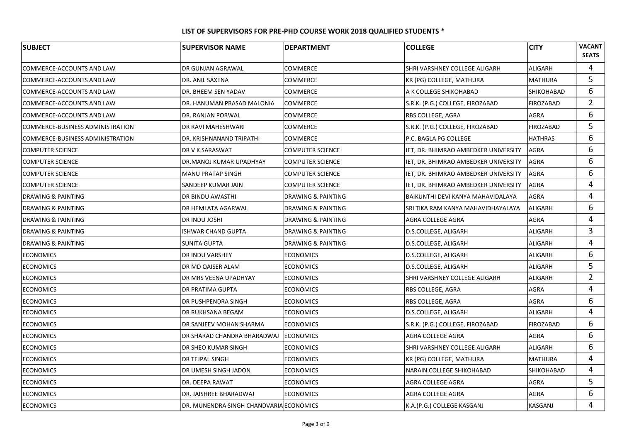| <b>SUBJECT</b>                   | <b>SUPERVISOR NAME</b>                  | <b>DEPARTMENT</b>             | <b>COLLEGE</b>                       | <b>CITY</b>      | <b>VACANT</b><br><b>SEATS</b> |
|----------------------------------|-----------------------------------------|-------------------------------|--------------------------------------|------------------|-------------------------------|
| COMMERCE-ACCOUNTS AND LAW        | DR GUNJAN AGRAWAL                       | COMMERCE                      | SHRI VARSHNEY COLLEGE ALIGARH        | <b>ALIGARH</b>   | 4                             |
| COMMERCE-ACCOUNTS AND LAW        | DR. ANIL SAXENA                         | <b>COMMERCE</b>               | KR (PG) COLLEGE, MATHURA             | <b>MATHURA</b>   | 5                             |
| COMMERCE-ACCOUNTS AND LAW        | DR. BHEEM SEN YADAV                     | COMMERCE                      | A K COLLEGE SHIKOHABAD               | SHIKOHABAD       | 6                             |
| COMMERCE-ACCOUNTS AND LAW        | DR. HANUMAN PRASAD MALONIA              | COMMERCE                      | S.R.K. (P.G.) COLLEGE, FIROZABAD     | <b>FIROZABAD</b> | $\overline{2}$                |
| COMMERCE-ACCOUNTS AND LAW        | DR. RANJAN PORWAL                       | COMMERCE                      | RBS COLLEGE, AGRA                    | <b>AGRA</b>      | 6                             |
| COMMERCE-BUSINESS ADMINISTRATION | DR RAVI MAHESHWARI                      | COMMERCE                      | S.R.K. (P.G.) COLLEGE, FIROZABAD     | <b>FIROZABAD</b> | 5                             |
| COMMERCE-BUSINESS ADMINISTRATION | DR. KRISHNANAND TRIPATHI                | COMMERCE                      | P.C. BAGLA PG COLLEGE                | <b>HATHRAS</b>   | 6                             |
| <b>COMPUTER SCIENCE</b>          | DR V K SARASWAT                         | COMPUTER SCIENCE              | IET, DR. BHIMRAO AMBEDKER UNIVERSITY | AGRA             | 6                             |
| <b>COMPUTER SCIENCE</b>          | DR.MANOJ KUMAR UPADHYAY                 | COMPUTER SCIENCE              | IET, DR. BHIMRAO AMBEDKER UNIVERSITY | <b>AGRA</b>      | 6                             |
| <b>COMPUTER SCIENCE</b>          | <b>MANU PRATAP SINGH</b>                | <b>COMPUTER SCIENCE</b>       | IET, DR. BHIMRAO AMBEDKER UNIVERSITY | <b>AGRA</b>      | 6                             |
| <b>COMPUTER SCIENCE</b>          | SANDEEP KUMAR JAIN                      | <b>COMPUTER SCIENCE</b>       | IET, DR. BHIMRAO AMBEDKER UNIVERSITY | lagra            | 4                             |
| DRAWING & PAINTING               | DR BINDU AWASTHI                        | DRAWING & PAINTING            | BAIKUNTHI DEVI KANYA MAHAVIDALAYA    | AGRA             | 4                             |
| <b>DRAWING &amp; PAINTING</b>    | DR HEMLATA AGARWAL                      | <b>DRAWING &amp; PAINTING</b> | SRI TIKA RAM KANYA MAHAVIDHAYALAYA   | <b>ALIGARH</b>   | 6                             |
| DRAWING & PAINTING               | DR INDU JOSHI                           | DRAWING & PAINTING            | AGRA COLLEGE AGRA                    | AGRA             | 4                             |
| <b>DRAWING &amp; PAINTING</b>    | ISHWAR CHAND GUPTA                      | DRAWING & PAINTING            | D.S.COLLEGE, ALIGARH                 | ALIGARH          | 3                             |
| <b>DRAWING &amp; PAINTING</b>    | <b>SUNITA GUPTA</b>                     | DRAWING & PAINTING            | D.S.COLLEGE, ALIGARH                 | <b>ALIGARH</b>   | 4                             |
| <b>ECONOMICS</b>                 | DR INDU VARSHEY                         | <b>ECONOMICS</b>              | D.S.COLLEGE, ALIGARH                 | ALIGARH          | 6                             |
| <b>ECONOMICS</b>                 | DR MD QAISER ALAM                       | <b>ECONOMICS</b>              | D.S.COLLEGE, ALIGARH                 | <b>ALIGARH</b>   | 5                             |
| <b>ECONOMICS</b>                 | DR MRS VEENA UPADHYAY                   | <b>ECONOMICS</b>              | SHRI VARSHNEY COLLEGE ALIGARH        | ALIGARH          | $\overline{2}$                |
| <b>ECONOMICS</b>                 | DR PRATIMA GUPTA                        | <b>ECONOMICS</b>              | RBS COLLEGE, AGRA                    | AGRA             | 4                             |
| <b>ECONOMICS</b>                 | DR PUSHPENDRA SINGH                     | <b>ECONOMICS</b>              | RBS COLLEGE, AGRA                    | AGRA             | 6                             |
| <b>ECONOMICS</b>                 | DR RUKHSANA BEGAM                       | <b>ECONOMICS</b>              | D.S.COLLEGE, ALIGARH                 | <b>ALIGARH</b>   | 4                             |
| <b>ECONOMICS</b>                 | DR SANJEEV MOHAN SHARMA                 | <b>ECONOMICS</b>              | S.R.K. (P.G.) COLLEGE, FIROZABAD     | FIROZABAD        | 6                             |
| <b>ECONOMICS</b>                 | DR SHARAD CHANDRA BHARADWAJ             | <b>ECONOMICS</b>              | AGRA COLLEGE AGRA                    | AGRA             | 6                             |
| <b>ECONOMICS</b>                 | DR SHEO KUMAR SINGH                     | <b>ECONOMICS</b>              | SHRI VARSHNEY COLLEGE ALIGARH        | ALIGARH          | 6                             |
| <b>ECONOMICS</b>                 | DR TEJPAL SINGH                         | <b>ECONOMICS</b>              | KR (PG) COLLEGE, MATHURA             | MATHURA          | 4                             |
| <b>ECONOMICS</b>                 | DR UMESH SINGH JADON                    | <b>ECONOMICS</b>              | NARAIN COLLEGE SHIKOHABAD            | SHIKOHABAD       | 4                             |
| <b>ECONOMICS</b>                 | DR. DEEPA RAWAT                         | <b>ECONOMICS</b>              | AGRA COLLEGE AGRA                    | AGRA             | 5                             |
| <b>ECONOMICS</b>                 | DR. JAISHREE BHARADWAJ                  | <b>ECONOMICS</b>              | AGRA COLLEGE AGRA                    | AGRA             | 6                             |
| <b>ECONOMICS</b>                 | DR. MUNENDRA SINGH CHANDVARIA ECONOMICS |                               | K.A.(P.G.) COLLEGE KASGANJ           | <b>KASGANJ</b>   | 4                             |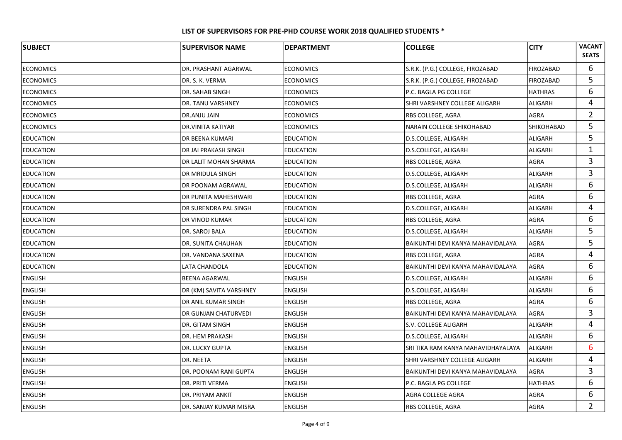| <b>SUBJECT</b>   | <b>SUPERVISOR NAME</b>   | <b>DEPARTMENT</b> | <b>COLLEGE</b>                     | <b>CITY</b>      | <b>VACANT</b><br><b>SEATS</b> |
|------------------|--------------------------|-------------------|------------------------------------|------------------|-------------------------------|
| <b>ECONOMICS</b> | DR. PRASHANT AGARWAL     | <b>ECONOMICS</b>  | S.R.K. (P.G.) COLLEGE, FIROZABAD   | <b>FIROZABAD</b> | 6                             |
| <b>ECONOMICS</b> | DR. S. K. VERMA          | <b>ECONOMICS</b>  | S.R.K. (P.G.) COLLEGE, FIROZABAD   | <b>FIROZABAD</b> | 5                             |
| <b>ECONOMICS</b> | DR. SAHAB SINGH          | <b>ECONOMICS</b>  | P.C. BAGLA PG COLLEGE              | <b>HATHRAS</b>   | 6                             |
| <b>ECONOMICS</b> | DR. TANU VARSHNEY        | <b>ECONOMICS</b>  | SHRI VARSHNEY COLLEGE ALIGARH      | ALIGARH          | 4                             |
| <b>ECONOMICS</b> | DR.ANJU JAIN             | <b>ECONOMICS</b>  | RBS COLLEGE, AGRA                  | <b>AGRA</b>      | $\overline{2}$                |
| <b>ECONOMICS</b> | <b>DR.VINITA KATIYAR</b> | <b>ECONOMICS</b>  | NARAIN COLLEGE SHIKOHABAD          | SHIKOHABAD       | 5                             |
| <b>EDUCATION</b> | DR BEENA KUMARI          | <b>EDUCATION</b>  | D.S.COLLEGE, ALIGARH               | ALIGARH          | 5                             |
| <b>EDUCATION</b> | DR JAI PRAKASH SINGH     | EDUCATION         | D.S.COLLEGE, ALIGARH               | <b>ALIGARH</b>   | 1                             |
| <b>EDUCATION</b> | DR LALIT MOHAN SHARMA    | EDUCATION         | RBS COLLEGE, AGRA                  | AGRA             | 3                             |
| <b>EDUCATION</b> | DR MRIDULA SINGH         | <b>EDUCATION</b>  | D.S.COLLEGE, ALIGARH               | <b>ALIGARH</b>   | 3                             |
| <b>EDUCATION</b> | DR POONAM AGRAWAL        | EDUCATION         | D.S.COLLEGE, ALIGARH               | ALIGARH          | 6                             |
| <b>EDUCATION</b> | DR PUNITA MAHESHWARI     | <b>EDUCATION</b>  | RBS COLLEGE, AGRA                  | AGRA             | 6                             |
| <b>EDUCATION</b> | DR SURENDRA PAL SINGH    | <b>EDUCATION</b>  | D.S.COLLEGE, ALIGARH               | <b>ALIGARH</b>   | 4                             |
| <b>EDUCATION</b> | DR VINOD KUMAR           | EDUCATION         | RBS COLLEGE, AGRA                  | <b>AGRA</b>      | 6                             |
| <b>EDUCATION</b> | DR. SAROJ BALA           | EDUCATION         | D.S.COLLEGE, ALIGARH               | ALIGARH          | 5                             |
| <b>EDUCATION</b> | DR. SUNITA CHAUHAN       | <b>EDUCATION</b>  | BAIKUNTHI DEVI KANYA MAHAVIDALAYA  | <b>AGRA</b>      | 5                             |
| <b>EDUCATION</b> | DR. VANDANA SAXENA       | EDUCATION         | RBS COLLEGE, AGRA                  | AGRA             | 4                             |
| <b>EDUCATION</b> | LATA CHANDOLA            | <b>EDUCATION</b>  | BAIKUNTHI DEVI KANYA MAHAVIDALAYA  | AGRA             | 6                             |
| <b>ENGLISH</b>   | <b>BEENA AGARWAL</b>     | ENGLISH           | D.S.COLLEGE, ALIGARH               | ALIGARH          | 6                             |
| <b>ENGLISH</b>   | DR (KM) SAVITA VARSHNEY  | <b>ENGLISH</b>    | D.S.COLLEGE, ALIGARH               | <b>ALIGARH</b>   | 6                             |
| <b>ENGLISH</b>   | DR ANIL KUMAR SINGH      | ENGLISH           | RBS COLLEGE, AGRA                  | AGRA             | 6                             |
| <b>ENGLISH</b>   | DR GUNJAN CHATURVEDI     | ENGLISH           | BAIKUNTHI DEVI KANYA MAHAVIDALAYA  | <b>AGRA</b>      | 3                             |
| <b>ENGLISH</b>   | DR. GITAM SINGH          | ENGLISH           | S.V. COLLEGE ALIGARH               | <b>ALIGARH</b>   | 4                             |
| <b>ENGLISH</b>   | DR. HEM PRAKASH          | <b>ENGLISH</b>    | D.S.COLLEGE, ALIGARH               | ALIGARH          | 6                             |
| <b>ENGLISH</b>   | <b>DR. LUCKY GUPTA</b>   | ENGLISH           | SRI TIKA RAM KANYA MAHAVIDHAYALAYA | ALIGARH          | 6                             |
| <b>ENGLISH</b>   | DR. NEETA                | <b>ENGLISH</b>    | SHRI VARSHNEY COLLEGE ALIGARH      | <b>ALIGARH</b>   | 4                             |
| <b>ENGLISH</b>   | DR. POONAM RANI GUPTA    | <b>ENGLISH</b>    | BAIKUNTHI DEVI KANYA MAHAVIDALAYA  | <b>AGRA</b>      | 3                             |
| <b>ENGLISH</b>   | DR. PRITI VERMA          | <b>ENGLISH</b>    | P.C. BAGLA PG COLLEGE              | <b>HATHRAS</b>   | 6                             |
| <b>ENGLISH</b>   | DR. PRIYAM ANKIT         | ENGLISH           | AGRA COLLEGE AGRA                  | AGRA             | 6                             |
| <b>ENGLISH</b>   | DR. SANJAY KUMAR MISRA   | <b>ENGLISH</b>    | RBS COLLEGE, AGRA                  | <b>AGRA</b>      | $\overline{2}$                |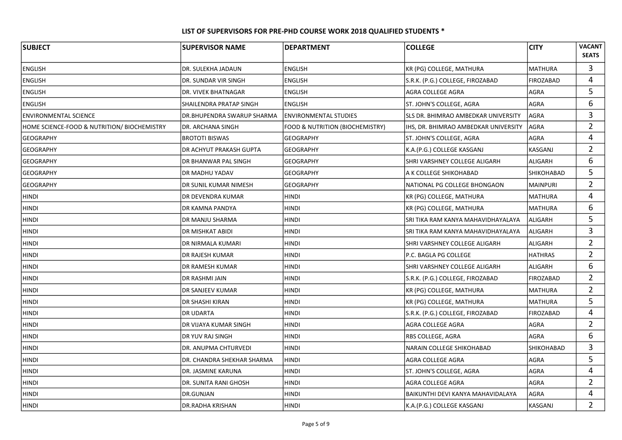| <b>SUBJECT</b>                              | <b>SUPERVISOR NAME</b>     | <b>DEPARTMENT</b>                          | <b>COLLEGE</b>                       | <b>CITY</b>      | <b>VACANT</b><br><b>SEATS</b> |
|---------------------------------------------|----------------------------|--------------------------------------------|--------------------------------------|------------------|-------------------------------|
| <b>ENGLISH</b>                              | DR. SULEKHA JADAUN         | <b>ENGLISH</b>                             | KR (PG) COLLEGE, MATHURA             | MATHURA          | $\overline{3}$                |
| <b>ENGLISH</b>                              | DR. SUNDAR VIR SINGH       | <b>ENGLISH</b>                             | S.R.K. (P.G.) COLLEGE, FIROZABAD     | <b>FIROZABAD</b> | 4                             |
| <b>ENGLISH</b>                              | DR. VIVEK BHATNAGAR        | <b>ENGLISH</b>                             | AGRA COLLEGE AGRA                    | <b>AGRA</b>      | 5                             |
| <b>ENGLISH</b>                              | SHAILENDRA PRATAP SINGH    | <b>ENGLISH</b>                             | ST. JOHN'S COLLEGE, AGRA             | <b>AGRA</b>      | 6                             |
| <b>ENVIRONMENTAL SCIENCE</b>                | DR.BHUPENDRA SWARUP SHARMA | <b>ENVIRONMENTAL STUDIES</b>               | SLS DR. BHIMRAO AMBEDKAR UNIVERSITY  | AGRA             | $\overline{3}$                |
| HOME SCIENCE-FOOD & NUTRITION/ BIOCHEMISTRY | DR. ARCHANA SINGH          | <b>FOOD &amp; NUTRITION (BIOCHEMISTRY)</b> | IHS, DR. BHIMRAO AMBEDKAR UNIVERSITY | lAGRA            | $\overline{2}$                |
| <b>GEOGRAPHY</b>                            | <b>BROTOTI BISWAS</b>      | <b>GEOGRAPHY</b>                           | ST. JOHN'S COLLEGE, AGRA             | <b>AGRA</b>      | 4                             |
| <b>GEOGRAPHY</b>                            | DR ACHYUT PRAKASH GUPTA    | <b>GEOGRAPHY</b>                           | K.A.(P.G.) COLLEGE KASGANJ           | KASGANJ          | $\overline{2}$                |
| <b>GEOGRAPHY</b>                            | DR BHANWAR PAL SINGH       | <b>GEOGRAPHY</b>                           | SHRI VARSHNEY COLLEGE ALIGARH        | ALIGARH          | 6                             |
| <b>GEOGRAPHY</b>                            | DR MADHU YADAV             | <b>GEOGRAPHY</b>                           | A K COLLEGE SHIKOHABAD               | SHIKOHABAD       | 5                             |
| <b>GEOGRAPHY</b>                            | DR SUNIL KUMAR NIMESH      | <b>GEOGRAPHY</b>                           | NATIONAL PG COLLEGE BHONGAON         | <b>MAINPURI</b>  | $\overline{2}$                |
| <b>HINDI</b>                                | DR DEVENDRA KUMAR          | <b>HINDI</b>                               | KR (PG) COLLEGE, MATHURA             | MATHURA          | 4                             |
| <b>HINDI</b>                                | DR KAMNA PANDYA            | <b>HINDI</b>                               | KR (PG) COLLEGE, MATHURA             | <b>MATHURA</b>   | 6                             |
| <b>HINDI</b>                                | DR MANJU SHARMA            | <b>HINDI</b>                               | SRI TIKA RAM KANYA MAHAVIDHAYALAYA   | ALIGARH          | 5                             |
| <b>HINDI</b>                                | DR MISHKAT ABIDI           | <b>HINDI</b>                               | SRI TIKA RAM KANYA MAHAVIDHAYALAYA   | ALIGARH          | 3                             |
| <b>HINDI</b>                                | DR NIRMALA KUMARI          | <b>HINDI</b>                               | SHRI VARSHNEY COLLEGE ALIGARH        | <b>ALIGARH</b>   | $\overline{2}$                |
| <b>HINDI</b>                                | DR RAJESH KUMAR            | <b>HINDI</b>                               | P.C. BAGLA PG COLLEGE                | <b>HATHRAS</b>   | $\overline{2}$                |
| <b>HINDI</b>                                | DR RAMESH KUMAR            | <b>HINDI</b>                               | SHRI VARSHNEY COLLEGE ALIGARH        | ALIGARH          | 6                             |
| <b>HINDI</b>                                | DR RASHMI JAIN             | <b>HINDI</b>                               | S.R.K. (P.G.) COLLEGE, FIROZABAD     | FIROZABAD        | $\overline{2}$                |
| <b>HINDI</b>                                | DR SANJEEV KUMAR           | <b>HINDI</b>                               | KR (PG) COLLEGE, MATHURA             | MATHURA          | $\overline{2}$                |
| <b>HINDI</b>                                | DR SHASHI KIRAN            | <b>HINDI</b>                               | KR (PG) COLLEGE, MATHURA             | <b>MATHURA</b>   | 5                             |
| <b>HINDI</b>                                | DR UDARTA                  | <b>HINDI</b>                               | S.R.K. (P.G.) COLLEGE, FIROZABAD     | FIROZABAD        | 4                             |
| <b>HINDI</b>                                | DR VIJAYA KUMAR SINGH      | <b>HINDI</b>                               | AGRA COLLEGE AGRA                    | AGRA             | $\overline{2}$                |
| <b>HINDI</b>                                | DR YUV RAJ SINGH           | <b>HINDI</b>                               | RBS COLLEGE, AGRA                    | AGRA             | 6                             |
| <b>HINDI</b>                                | DR. ANUPMA CHTURVEDI       | <b>HINDI</b>                               | <b>NARAIN COLLEGE SHIKOHABAD</b>     | SHIKOHABAD       | $\overline{3}$                |
| <b>HINDI</b>                                | DR. CHANDRA SHEKHAR SHARMA | <b>HINDI</b>                               | AGRA COLLEGE AGRA                    | AGRA             | 5.                            |
| <b>HINDI</b>                                | DR. JASMINE KARUNA         | <b>HINDI</b>                               | ST. JOHN'S COLLEGE, AGRA             | <b>AGRA</b>      | 4                             |
| <b>HINDI</b>                                | DR. SUNITA RANI GHOSH      | <b>HINDI</b>                               | AGRA COLLEGE AGRA                    | <b>AGRA</b>      | $\overline{2}$                |
| <b>HINDI</b>                                | DR.GUNJAN                  | <b>HINDI</b>                               | BAIKUNTHI DEVI KANYA MAHAVIDALAYA    | <b>AGRA</b>      | 4                             |
| <b>HINDI</b>                                | DR.RADHA KRISHAN           | <b>HINDI</b>                               | K.A.(P.G.) COLLEGE KASGANJ           | KASGANJ          | $\overline{2}$                |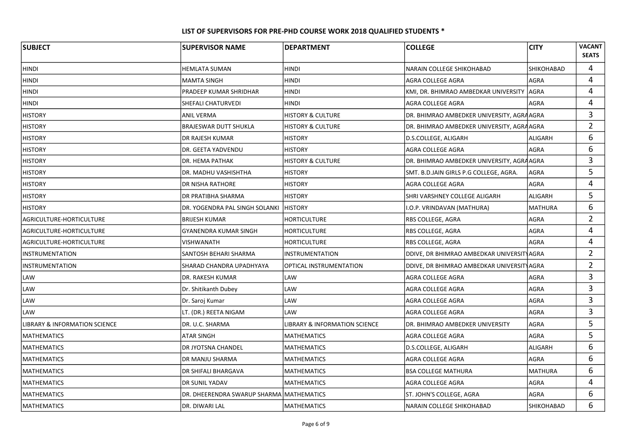| <b>SUBJECT</b>                           | <b>SUPERVISOR NAME</b>                   | <b>DEPARTMENT</b>                        | <b>COLLEGE</b>                            | <b>CITY</b>       | <b>VACANT</b><br><b>SEATS</b> |
|------------------------------------------|------------------------------------------|------------------------------------------|-------------------------------------------|-------------------|-------------------------------|
| <b>HINDI</b>                             | HEMLATA SUMAN                            | <b>HINDI</b>                             | NARAIN COLLEGE SHIKOHABAD                 | SHIKOHABAD        | 4                             |
| <b>HINDI</b>                             | <b>MAMTA SINGH</b>                       | HINDI                                    | AGRA COLLEGE AGRA                         | <b>AGRA</b>       | 4                             |
| <b>HINDI</b>                             | PRADEEP KUMAR SHRIDHAR                   | <b>HINDI</b>                             | KMI, DR. BHIMRAO AMBEDKAR UNIVERSITY      | AGRA              | 4                             |
| <b>HINDI</b>                             | SHEFALI CHATURVEDI                       | HINDI                                    | AGRA COLLEGE AGRA                         | AGRA              | 4                             |
| <b>HISTORY</b>                           | <b>ANIL VERMA</b>                        | <b>HISTORY &amp; CULTURE</b>             | DR. BHIMRAO AMBEDKER UNIVERSITY, AGRAAGRA |                   | 3                             |
| <b>HISTORY</b>                           | <b>BRAJESWAR DUTT SHUKLA</b>             | <b>HISTORY &amp; CULTURE</b>             | DR. BHIMRAO AMBEDKER UNIVERSITY, AGRAAGRA |                   | $\overline{2}$                |
| <b>HISTORY</b>                           | DR RAJESH KUMAR                          | HISTORY                                  | D.S.COLLEGE, ALIGARH                      | ALIGARH           | 6                             |
| <b>HISTORY</b>                           | DR. GEETA YADVENDU                       | <b>HISTORY</b>                           | AGRA COLLEGE AGRA                         | AGRA              | 6                             |
| <b>HISTORY</b>                           | DR. HEMA PATHAK                          | <b>HISTORY &amp; CULTURE</b>             | DR. BHIMRAO AMBEDKER UNIVERSITY, AGRAAGRA |                   | $\overline{3}$                |
| <b>HISTORY</b>                           | DR. MADHU VASHISHTHA                     | HISTORY                                  | SMT. B.D.JAIN GIRLS P.G COLLEGE, AGRA.    | <b>AGRA</b>       | 5                             |
| <b>HISTORY</b>                           | DR NISHA RATHORE                         | <b>HISTORY</b>                           | AGRA COLLEGE AGRA                         | AGRA              | 4                             |
| <b>HISTORY</b>                           | DR PRATIBHA SHARMA                       | <b>HISTORY</b>                           | SHRI VARSHNEY COLLEGE ALIGARH             | <b>ALIGARH</b>    | 5                             |
| <b>HISTORY</b>                           | DR. YOGENDRA PAL SINGH SOLANKI           | <b>HISTORY</b>                           | I.O.P. VRINDAVAN (MATHURA)                | MATHURA           | 6                             |
| AGRICULTURE-HORTICULTURE                 | <b>BRIJESH KUMAR</b>                     | HORTICULTURE                             | RBS COLLEGE, AGRA                         | <b>AGRA</b>       | $\overline{2}$                |
| AGRICULTURE-HORTICULTURE                 | <b>GYANENDRA KUMAR SINGH</b>             | HORTICULTURE                             | RBS COLLEGE, AGRA                         | AGRA              | 4                             |
| AGRICULTURE-HORTICULTURE                 | <b>VISHWANATH</b>                        | HORTICULTURE                             | RBS COLLEGE, AGRA                         | <b>AGRA</b>       | 4                             |
| <b>INSTRUMENTATION</b>                   | SANTOSH BEHARI SHARMA                    | INSTRUMENTATION                          | DDIVE, DR BHIMRAO AMBEDKAR UNIVERSITYAGRA |                   | $\overline{2}$                |
| INSTRUMENTATION                          | SHARAD CHANDRA UPADHYAYA                 | OPTICAL INSTRUMENTATION                  | DDIVE, DR BHIMRAO AMBEDKAR UNIVERSITYAGRA |                   | $\overline{2}$                |
| LAW                                      | DR. RAKESH KUMAR                         | LAW                                      | AGRA COLLEGE AGRA                         | <b>AGRA</b>       | 3                             |
| LAW                                      | Dr. Shitikanth Dubey                     | LAW                                      | AGRA COLLEGE AGRA                         | AGRA              | 3                             |
| LAW                                      | Dr. Saroj Kumar                          | LAW                                      | AGRA COLLEGE AGRA                         | AGRA              | 3                             |
| LAW                                      | LT. (DR.) REETA NIGAM                    | LAW                                      | AGRA COLLEGE AGRA                         | AGRA              | $\overline{3}$                |
| <b>LIBRARY &amp; INFORMATION SCIENCE</b> | DR. U.C. SHARMA                          | <b>LIBRARY &amp; INFORMATION SCIENCE</b> | DR. BHIMRAO AMBEDKER UNIVERSITY           | AGRA              | 5                             |
| <b>MATHEMATICS</b>                       | <b>ATAR SINGH</b>                        | MATHEMATICS                              | AGRA COLLEGE AGRA                         | AGRA              | 5                             |
| MATHEMATICS                              | DR JYOTSNA CHANDEL                       | MATHEMATICS                              | D.S.COLLEGE, ALIGARH                      | ALIGARH           | 6                             |
| MATHEMATICS                              | DR MANJU SHARMA                          | MATHEMATICS                              | AGRA COLLEGE AGRA                         | <b>AGRA</b>       | 6                             |
| MATHEMATICS                              | DR SHIFALI BHARGAVA                      | MATHEMATICS                              | <b>BSA COLLEGE MATHURA</b>                | <b>MATHURA</b>    | 6                             |
| <b>MATHEMATICS</b>                       | DR SUNIL YADAV                           | <b>MATHEMATICS</b>                       | AGRA COLLEGE AGRA                         | <b>AGRA</b>       | 4                             |
| <b>MATHEMATICS</b>                       | DR. DHEERENDRA SWARUP SHARMA MATHEMATICS |                                          | ST. JOHN'S COLLEGE, AGRA                  | AGRA              | 6                             |
| MATHEMATICS                              | DR. DIWARI LAL                           | MATHEMATICS                              | NARAIN COLLEGE SHIKOHABAD                 | <b>SHIKOHABAD</b> | 6                             |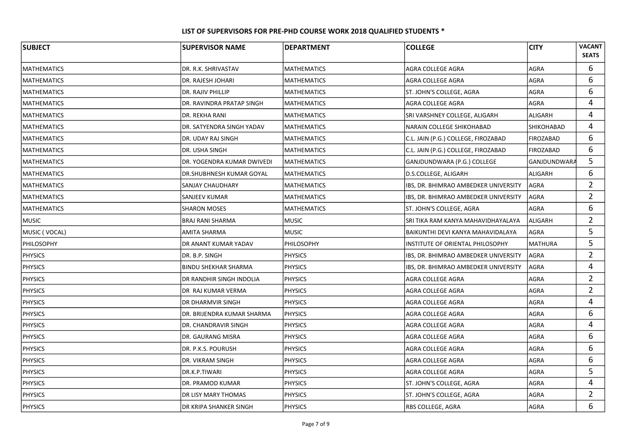| <b>SUBJECT</b>     | <b>SUPERVISOR NAME</b>     | <b>DEPARTMENT</b>  | <b>COLLEGE</b>                       | <b>CITY</b>         | <b>VACANT</b><br><b>SEATS</b> |
|--------------------|----------------------------|--------------------|--------------------------------------|---------------------|-------------------------------|
| <b>MATHEMATICS</b> | DR. R.K. SHRIVASTAV        | <b>MATHEMATICS</b> | AGRA COLLEGE AGRA                    | <b>AGRA</b>         | 6                             |
| MATHEMATICS        | DR. RAJESH JOHARI          | <b>MATHEMATICS</b> | AGRA COLLEGE AGRA                    | <b>AGRA</b>         | 6                             |
| <b>MATHEMATICS</b> | DR. RAJIV PHILLIP          | <b>MATHEMATICS</b> | ST. JOHN'S COLLEGE, AGRA             | <b>AGRA</b>         | 6                             |
| MATHEMATICS        | DR. RAVINDRA PRATAP SINGH  | MATHEMATICS        | AGRA COLLEGE AGRA                    | <b>AGRA</b>         | 4                             |
| <b>MATHEMATICS</b> | <b>DR. REKHA RANI</b>      | <b>MATHEMATICS</b> | SRI VARSHNEY COLLEGE, ALIGARH        | ALIGARH             | 4                             |
| IMATHEMATICS       | DR. SATYENDRA SINGH YADAV  | <b>MATHEMATICS</b> | <b>NARAIN COLLEGE SHIKOHABAD</b>     | SHIKOHABAD          | 4                             |
| MATHEMATICS        | DR. UDAY RAJ SINGH         | <b>MATHEMATICS</b> | C.L. JAIN (P.G.) COLLEGE, FIROZABAD  | <b>FIROZABAD</b>    | 6                             |
| <b>MATHEMATICS</b> | DR. USHA SINGH             | <b>MATHEMATICS</b> | C.L. JAIN (P.G.) COLLEGE, FIROZABAD  | <b>FIROZABAD</b>    | 6                             |
| MATHEMATICS        | DR. YOGENDRA KUMAR DWIVEDI | <b>MATHEMATICS</b> | GANJDUNDWARA (P.G.) COLLEGE          | <b>GANJDUNDWARA</b> | 5                             |
| <b>MATHEMATICS</b> | DR.SHUBHNESH KUMAR GOYAL   | <b>MATHEMATICS</b> | D.S.COLLEGE, ALIGARH                 | ALIGARH             | 6                             |
| MATHEMATICS        | SANJAY CHAUDHARY           | <b>MATHEMATICS</b> | IBS. DR. BHIMRAO AMBEDKER UNIVERSITY | AGRA                | $\overline{2}$                |
| MATHEMATICS        | SANJEEV KUMAR              | <b>MATHEMATICS</b> | IBS, DR. BHIMRAO AMBEDKER UNIVERSITY | <b>AGRA</b>         | $\overline{2}$                |
| MATHEMATICS        | <b>SHARON MOSES</b>        | <b>MATHEMATICS</b> | ST. JOHN'S COLLEGE, AGRA             | <b>AGRA</b>         | 6                             |
| MUSIC              | BRAJ RANI SHARMA           | <b>MUSIC</b>       | SRI TIKA RAM KANYA MAHAVIDHAYALAYA   | ALIGARH             | $\overline{2}$                |
| MUSIC (VOCAL)      | AMITA SHARMA               | <b>MUSIC</b>       | BAIKUNTHI DEVI KANYA MAHAVIDALAYA    | <b>AGRA</b>         | 5                             |
| PHILOSOPHY         | DR ANANT KUMAR YADAV       | PHILOSOPHY         | INSTITUTE OF ORIENTAL PHILOSOPHY     | <b>MATHURA</b>      | 5                             |
| <b>PHYSICS</b>     | DR. B.P. SINGH             | <b>PHYSICS</b>     | IBS, DR. BHIMRAO AMBEDKER UNIVERSITY | <b>AGRA</b>         | $\overline{2}$                |
| <b>PHYSICS</b>     | BINDU SHEKHAR SHARMA       | <b>PHYSICS</b>     | IBS, DR. BHIMRAO AMBEDKER UNIVERSITY | <b>AGRA</b>         | 4                             |
| <b>PHYSICS</b>     | DR RANDHIR SINGH INDOLIA   | <b>PHYSICS</b>     | AGRA COLLEGE AGRA                    | AGRA                | $\overline{2}$                |
| <b>PHYSICS</b>     | DR RAJ KUMAR VERMA         | <b>PHYSICS</b>     | AGRA COLLEGE AGRA                    | <b>AGRA</b>         | $\overline{2}$                |
| <b>PHYSICS</b>     | DR DHARMVIR SINGH          | <b>PHYSICS</b>     | AGRA COLLEGE AGRA                    | <b>AGRA</b>         | 4                             |
| PHYSICS            | DR. BRIJENDRA KUMAR SHARMA | <b>PHYSICS</b>     | AGRA COLLEGE AGRA                    | <b>AGRA</b>         | 6                             |
| PHYSICS            | DR. CHANDRAVIR SINGH       | <b>PHYSICS</b>     | AGRA COLLEGE AGRA                    | <b>AGRA</b>         | 4                             |
| <b>PHYSICS</b>     | DR. GAURANG MISRA          | <b>PHYSICS</b>     | AGRA COLLEGE AGRA                    | <b>AGRA</b>         | 6                             |
| PHYSICS            | DR. P.K.S. POURUSH         | <b>PHYSICS</b>     | AGRA COLLEGE AGRA                    | AGRA                | 6                             |
| <b>PHYSICS</b>     | DR. VIKRAM SINGH           | <b>PHYSICS</b>     | AGRA COLLEGE AGRA                    | AGRA                | 6                             |
| <b>PHYSICS</b>     | DR.K.P.TIWARI              | <b>PHYSICS</b>     | AGRA COLLEGE AGRA                    | <b>AGRA</b>         | 5                             |
| PHYSICS            | DR. PRAMOD KUMAR           | <b>PHYSICS</b>     | ST. JOHN'S COLLEGE, AGRA             | AGRA                | 4                             |
| <b>PHYSICS</b>     | DR LISY MARY THOMAS        | <b>PHYSICS</b>     | ST. JOHN'S COLLEGE, AGRA             | AGRA                | $\overline{2}$                |
| PHYSICS            | DR KRIPA SHANKER SINGH     | <b>PHYSICS</b>     | RBS COLLEGE, AGRA                    | <b>AGRA</b>         | 6                             |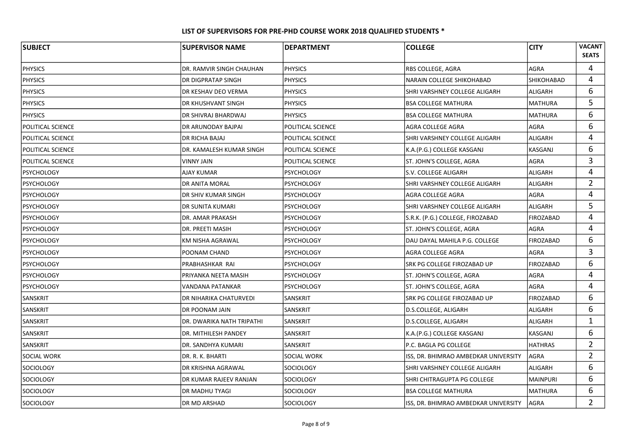| <b>SUBJECT</b>           | <b>SUPERVISOR NAME</b>    | <b>DEPARTMENT</b> | <b>COLLEGE</b>                       | <b>CITY</b>       | <b>VACANT</b><br><b>SEATS</b> |
|--------------------------|---------------------------|-------------------|--------------------------------------|-------------------|-------------------------------|
| <b>PHYSICS</b>           | DR. RAMVIR SINGH CHAUHAN  | <b>PHYSICS</b>    | RBS COLLEGE, AGRA                    | <b>AGRA</b>       | 4                             |
| <b>PHYSICS</b>           | DR DIGPRATAP SINGH        | <b>PHYSICS</b>    | NARAIN COLLEGE SHIKOHABAD            | <b>SHIKOHABAD</b> | 4                             |
| PHYSICS                  | DR KESHAV DEO VERMA       | <b>PHYSICS</b>    | SHRI VARSHNEY COLLEGE ALIGARH        | <b>ALIGARH</b>    | 6                             |
| <b>PHYSICS</b>           | DR KHUSHVANT SINGH        | <b>PHYSICS</b>    | <b>BSA COLLEGE MATHURA</b>           | <b>MATHURA</b>    | 5                             |
| <b>PHYSICS</b>           | DR SHIVRAJ BHARDWAJ       | <b>PHYSICS</b>    | <b>BSA COLLEGE MATHURA</b>           | <b>MATHURA</b>    | 6                             |
| POLITICAL SCIENCE        | DR ARUNODAY BAJPAI        | POLITICAL SCIENCE | AGRA COLLEGE AGRA                    | AGRA              | 6                             |
| <b>POLITICAL SCIENCE</b> | DR RICHA BAJAJ            | POLITICAL SCIENCE | SHRI VARSHNEY COLLEGE ALIGARH        | <b>ALIGARH</b>    | 4                             |
| POLITICAL SCIENCE        | DR. KAMALESH KUMAR SINGH  | POLITICAL SCIENCE | K.A.(P.G.) COLLEGE KASGANJ           | KASGANJ           | 6                             |
| POLITICAL SCIENCE        | VINNY JAIN                | POLITICAL SCIENCE | ST. JOHN'S COLLEGE, AGRA             | AGRA              | 3                             |
| <b>PSYCHOLOGY</b>        | AJAY KUMAR                | <b>PSYCHOLOGY</b> | S.V. COLLEGE ALIGARH                 | <b>ALIGARH</b>    | 4                             |
| <b>PSYCHOLOGY</b>        | <b>DR ANITA MORAL</b>     | <b>PSYCHOLOGY</b> | SHRI VARSHNEY COLLEGE ALIGARH        | <b>ALIGARH</b>    | $\overline{2}$                |
| <b>PSYCHOLOGY</b>        | DR SHIV KUMAR SINGH       | <b>PSYCHOLOGY</b> | AGRA COLLEGE AGRA                    | AGRA              | 4                             |
| <b>PSYCHOLOGY</b>        | DR SUNITA KUMARI          | <b>PSYCHOLOGY</b> | SHRI VARSHNEY COLLEGE ALIGARH        | ALIGARH           | 5                             |
| <b>PSYCHOLOGY</b>        | DR. AMAR PRAKASH          | <b>PSYCHOLOGY</b> | S.R.K. (P.G.) COLLEGE, FIROZABAD     | <b>FIROZABAD</b>  | 4                             |
| <b>PSYCHOLOGY</b>        | DR. PREETI MASIH          | <b>PSYCHOLOGY</b> | ST. JOHN'S COLLEGE, AGRA             | AGRA              | 4                             |
| <b>PSYCHOLOGY</b>        | KM NISHA AGRAWAL          | <b>PSYCHOLOGY</b> | DAU DAYAL MAHILA P.G. COLLEGE        | <b>FIROZABAD</b>  | 6                             |
| <b>PSYCHOLOGY</b>        | POONAM CHAND              | <b>PSYCHOLOGY</b> | AGRA COLLEGE AGRA                    | <b>AGRA</b>       | 3                             |
| <b>PSYCHOLOGY</b>        | PRABHASHKAR RAI           | <b>PSYCHOLOGY</b> | SRK PG COLLEGE FIROZABAD UP          | <b>FIROZABAD</b>  | 6                             |
| <b>PSYCHOLOGY</b>        | PRIYANKA NEETA MASIH      | <b>PSYCHOLOGY</b> | ST. JOHN'S COLLEGE, AGRA             | AGRA              | 4                             |
| <b>PSYCHOLOGY</b>        | VANDANA PATANKAR          | <b>PSYCHOLOGY</b> | ST. JOHN'S COLLEGE, AGRA             | <b>AGRA</b>       | 4                             |
| SANSKRIT                 | DR NIHARIKA CHATURVEDI    | <b>SANSKRIT</b>   | SRK PG COLLEGE FIROZABAD UP          | <b>FIROZABAD</b>  | 6                             |
| <b>SANSKRIT</b>          | DR POONAM JAIN            | <b>SANSKRIT</b>   | D.S.COLLEGE, ALIGARH                 | ALIGARH           | 6                             |
| <b>SANSKRIT</b>          | DR. DWARIKA NATH TRIPATHI | SANSKRIT          | D.S.COLLEGE, ALIGARH                 | <b>ALIGARH</b>    | 1                             |
| <b>SANSKRIT</b>          | DR. MITHILESH PANDEY      | <b>SANSKRIT</b>   | K.A.(P.G.) COLLEGE KASGANJ           | KASGANJ           | 6                             |
| <b>SANSKRIT</b>          | DR. SANDHYA KUMARI        | SANSKRIT          | P.C. BAGLA PG COLLEGE                | <b>HATHRAS</b>    | $\mathbf{2}^{\prime}$         |
| <b>SOCIAL WORK</b>       | DR. R. K. BHARTI          | SOCIAL WORK       | ISS, DR. BHIMRAO AMBEDKAR UNIVERSITY | AGRA              | $\overline{2}$                |
| <b>SOCIOLOGY</b>         | DR KRISHNA AGRAWAL        | <b>SOCIOLOGY</b>  | SHRI VARSHNEY COLLEGE ALIGARH        | ALIGARH           | 6                             |
| SOCIOLOGY                | DR KUMAR RAJEEV RANJAN    | <b>SOCIOLOGY</b>  | SHRI CHITRAGUPTA PG COLLEGE          | <b>MAINPURI</b>   | 6                             |
| <b>SOCIOLOGY</b>         | DR MADHU TYAGI            | SOCIOLOGY         | <b>BSA COLLEGE MATHURA</b>           | <b>MATHURA</b>    | 6                             |
| SOCIOLOGY                | DR MD ARSHAD              | <b>SOCIOLOGY</b>  | ISS, DR. BHIMRAO AMBEDKAR UNIVERSITY | AGRA              | $2^{\circ}$                   |
|                          |                           |                   |                                      |                   |                               |